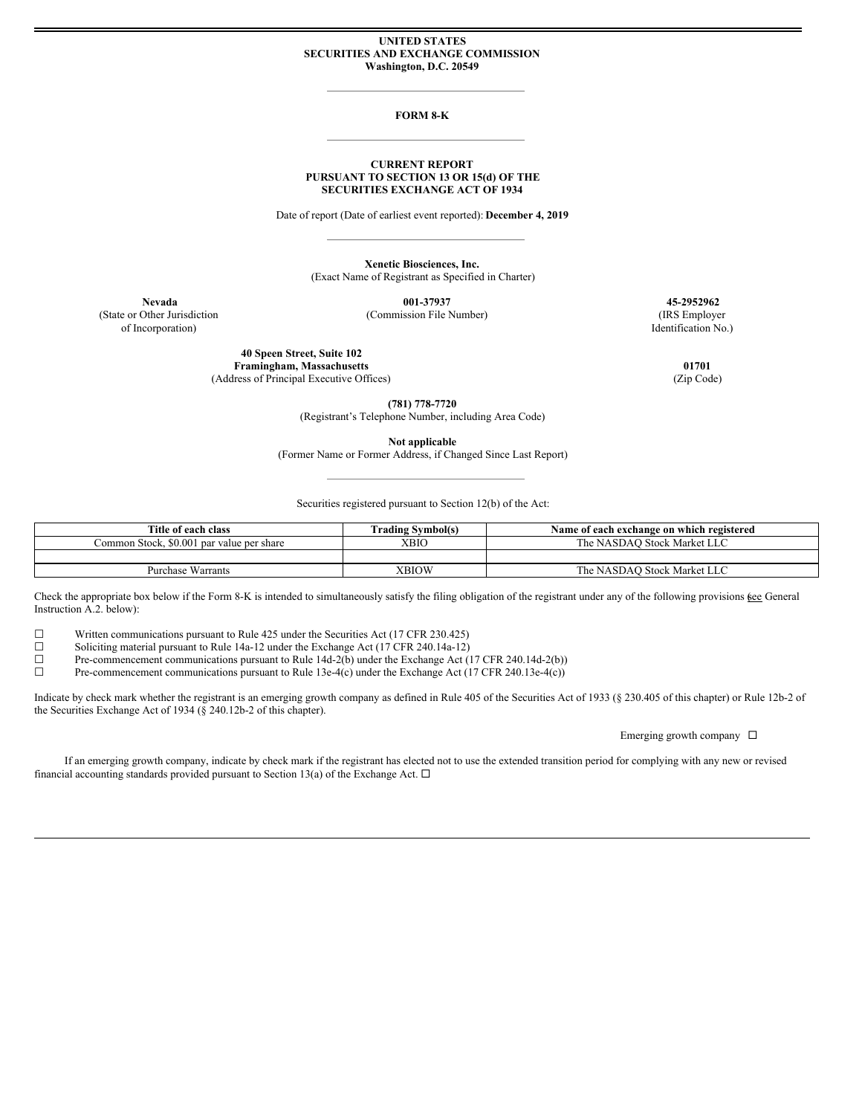#### **UNITED STATES SECURITIES AND EXCHANGE COMMISSION Washington, D.C. 20549**

### **FORM 8-K**

#### **CURRENT REPORT PURSUANT TO SECTION 13 OR 15(d) OF THE SECURITIES EXCHANGE ACT OF 1934**

Date of report (Date of earliest event reported): **December 4, 2019**

**Xenetic Biosciences, Inc.** (Exact Name of Registrant as Specified in Charter)

**Nevada 001-37937 45-2952962**

(State or Other Jurisdiction of Incorporation)

(Commission File Number) (IRS Employer Identification No.)

**40 Speen Street, Suite 102 Framingham, Massachusetts 01701**<br>
dress of Principal Executive Offices) (Zip Code) (2ip Code) (Address of Principal Executive Offices)

**(781) 778-7720** (Registrant's Telephone Number, including Area Code)

**Not applicable**

(Former Name or Former Address, if Changed Since Last Report)

Securities registered pursuant to Section 12(b) of the Act:

| Title of each class                       | <b>Trading Symbol(s)</b> | Name of each exchange on which registered |
|-------------------------------------------|--------------------------|-------------------------------------------|
| Common Stock, \$0.001 par value per share | XBIO                     | The NASDAO Stock Market LLC               |
|                                           |                          |                                           |
| <b>Purchase Warrants</b>                  | XBIOW                    | The NASDAO Stock Market LLC               |

Check the appropriate box below if the Form 8-K is intended to simultaneously satisfy the filing obligation of the registrant under any of the following provisions kee General Instruction A.2. below):

 $\Box$  Written communications pursuant to Rule 425 under the Securities Act (17 CFR 230.425) <br>Soliciting material pursuant to Rule 14a-12 under the Exchange Act (17 CFR 240.14a-12)

□ Soliciting material pursuing to Rule 14a-12 under the Exchange Act (17 CFR 240.14a-12)<br>Pre-component communications pursuit to Rule 14d-2(b) under the Exchange Act (

 $\Box$  Pre-commencement communications pursuant to Rule 14d-2(b) under the Exchange Act (17 CFR 240.14d-2(b))<br>Pre-commencement communications pursuant to Rule 13e-4(c) under the Exchange Act (17 CFR 240.13e-4(c))

Pre-commencement communications pursuant to Rule 13e-4(c) under the Exchange Act (17 CFR 240.13e-4(c))

Indicate by check mark whether the registrant is an emerging growth company as defined in Rule 405 of the Securities Act of 1933 (§ 230.405 of this chapter) or Rule 12b-2 of the Securities Exchange Act of 1934 (§ 240.12b-2 of this chapter).

Emerging growth company  $\square$ 

If an emerging growth company, indicate by check mark if the registrant has elected not to use the extended transition period for complying with any new or revised financial accounting standards provided pursuant to Section 13(a) of the Exchange Act.  $\Box$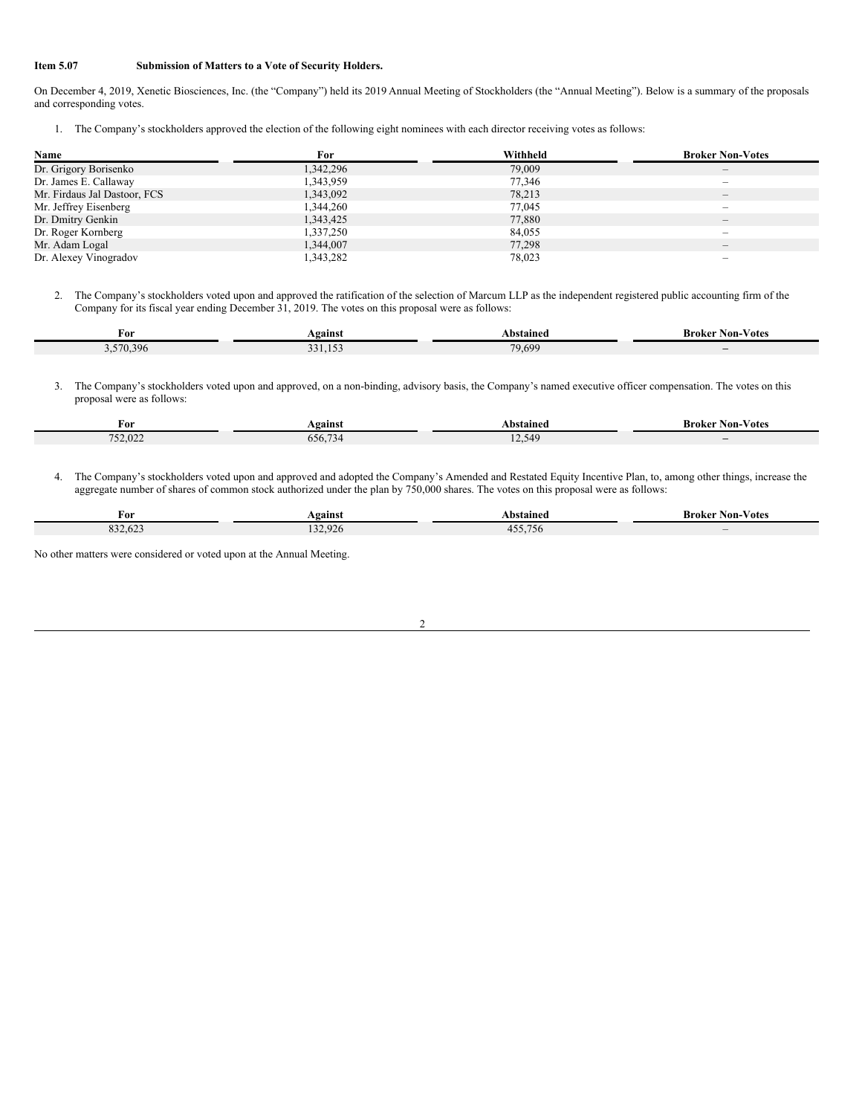### **Item 5.07 Submission of Matters to a Vote of Security Holders.**

On December 4, 2019, Xenetic Biosciences, Inc. (the "Company") held its 2019 Annual Meeting of Stockholders (the "Annual Meeting"). Below is a summary of the proposals and corresponding votes.

1. The Company's stockholders approved the election of the following eight nominees with each director receiving votes as follows:

| Name                         | For       | Withheld | <b>Broker Non-Votes</b>      |
|------------------------------|-----------|----------|------------------------------|
| Dr. Grigory Borisenko        | 1,342,296 | 79,009   |                              |
| Dr. James E. Callaway        | 1,343,959 | 77,346   | $\overline{\phantom{0}}$     |
| Mr. Firdaus Jal Dastoor, FCS | 1,343,092 | 78.213   | $\qquad \qquad -$            |
| Mr. Jeffrey Eisenberg        | 1,344,260 | 77,045   | $\overline{\phantom{0}}$     |
| Dr. Dmitry Genkin            | 1,343,425 | 77,880   | $\qquad \qquad \blacksquare$ |
| Dr. Roger Kornberg           | 1,337,250 | 84,055   | $\overline{\phantom{0}}$     |
| Mr. Adam Logal               | 1,344,007 | 77,298   | $\qquad \qquad -$            |
| Dr. Alexey Vinogradov        | 1,343,282 | 78,023   | $\overline{\phantom{a}}$     |

2. The Company's stockholders voted upon and approved the ratification of the selection of Marcum LLP as the independent registered public accounting firm of the Company for its fiscal year ending December 31, 2019. The votes on this proposal were as follows:

| For               | Against                              | \bstained | <b>Non-Votes</b><br>Broker |
|-------------------|--------------------------------------|-----------|----------------------------|
| 570,396<br>$\sim$ | 1 <sup>2</sup><br>$\sim$ $\sim$<br>. | 79,699    |                            |

3. The Company's stockholders voted upon and approved, on a non-binding, advisory basis, the Company's named executive officer compensation. The votes on this proposal were as follows:

| For              | <b>\gainst</b>    | Abstained                   | <b>Broker Non-Votes</b> |
|------------------|-------------------|-----------------------------|-------------------------|
| 75000<br>752.022 | $\sim$<br>656,734 | 549<br>$1 + 7$<br>$\cdot$ . |                         |

4. The Company's stockholders voted upon and approved and adopted the Company's Amended and Restated Equity Incentive Plan, to, among other things, increase the aggregate number of shares of common stock authorized under the plan by 750,000 shares. The votes on this proposal were as follows:

| For                                     | Against | Abstained                | <b>Non-Votes</b><br>Broker |
|-----------------------------------------|---------|--------------------------|----------------------------|
| $\sim$ $\sim$ $\sim$<br>0.22<br>832,623 | 132.926 | 55.756<br>4.4<br>TJJ, I. |                            |

No other matters were considered or voted upon at the Annual Meeting.

π